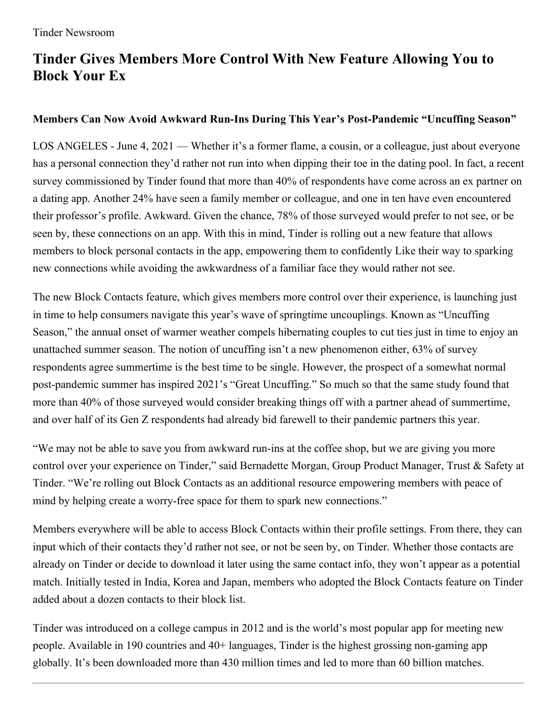## **Tinder Gives Members More Control With New Feature Allowing You to Block Your Ex**

## **Members Can Now Avoid Awkward Run-Ins During This Year's Post-Pandemic "Uncuffing Season"**

LOS ANGELES - June 4, 2021 — Whether it's a former flame, a cousin, or a colleague, just about everyone has a personal connection they'd rather not run into when dipping their toe in the dating pool. In fact, a recent survey commissioned by Tinder found that more than 40% of respondents have come across an ex partner on a dating app. Another 24% have seen a family member or colleague, and one in ten have even encountered their professor's profile. Awkward. Given the chance, 78% of those surveyed would prefer to not see, or be seen by, these connections on an app. With this in mind, Tinder is rolling out a new feature that allows members to block personal contacts in the app, empowering them to confidently Like their way to sparking new connections while avoiding the awkwardness of a familiar face they would rather not see.

The new Block Contacts feature, which gives members more control over their experience, is launching just in time to help consumers navigate this year's wave of springtime uncouplings. Known as "Uncuffing Season," the annual onset of warmer weather compels hibernating couples to cut ties just in time to enjoy an unattached summer season. The notion of uncuffing isn't a new phenomenon either, 63% of survey respondents agree summertime is the best time to be single. However, the prospect of a somewhat normal post-pandemic summer has inspired 2021's "Great Uncuffing." So much so that the same study found that more than 40% of those surveyed would consider breaking things off with a partner ahead of summertime, and over half of its Gen Z respondents had already bid farewell to their pandemic partners this year.

"We may not be able to save you from awkward run-ins at the coffee shop, but we are giving you more control over your experience on Tinder," said Bernadette Morgan, Group Product Manager, Trust & Safety at Tinder. "We're rolling out Block Contacts as an additional resource empowering members with peace of mind by helping create a worry-free space for them to spark new connections."

Members everywhere will be able to access Block Contacts within their profile settings. From there, they can input which of their contacts they'd rather not see, or not be seen by, on Tinder. Whether those contacts are already on Tinder or decide to download it later using the same contact info, they won't appear as a potential match. Initially tested in India, Korea and Japan, members who adopted the Block Contacts feature on Tinder added about a dozen contacts to their block list.

Tinder was introduced on a college campus in 2012 and is the world's most popular app for meeting new people. Available in 190 countries and 40+ languages, Tinder is the highest grossing non-gaming app globally. It's been downloaded more than 430 million times and led to more than 60 billion matches.